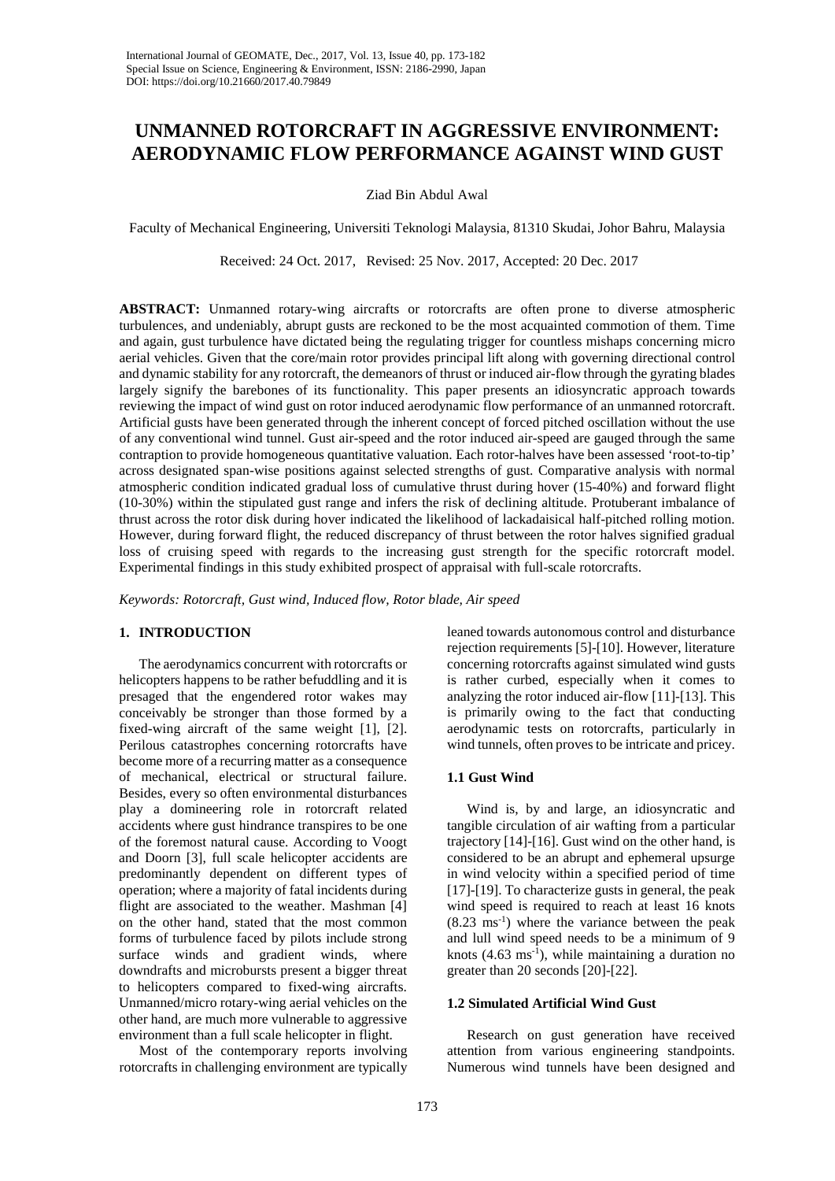# **UNMANNED ROTORCRAFT IN AGGRESSIVE ENVIRONMENT: AERODYNAMIC FLOW PERFORMANCE AGAINST WIND GUST**

Ziad Bin Abdul Awal

Faculty of Mechanical Engineering, Universiti Teknologi Malaysia, 81310 Skudai, Johor Bahru, Malaysia

Received: 24 Oct. 2017, Revised: 25 Nov. 2017, Accepted: 20 Dec. 2017

**ABSTRACT:** Unmanned rotary-wing aircrafts or rotorcrafts are often prone to diverse atmospheric turbulences, and undeniably, abrupt gusts are reckoned to be the most acquainted commotion of them. Time and again, gust turbulence have dictated being the regulating trigger for countless mishaps concerning micro aerial vehicles. Given that the core/main rotor provides principal lift along with governing directional control and dynamic stability for any rotorcraft, the demeanors of thrust or induced air-flow through the gyrating blades largely signify the barebones of its functionality. This paper presents an idiosyncratic approach towards reviewing the impact of wind gust on rotor induced aerodynamic flow performance of an unmanned rotorcraft. Artificial gusts have been generated through the inherent concept of forced pitched oscillation without the use of any conventional wind tunnel. Gust air-speed and the rotor induced air-speed are gauged through the same contraption to provide homogeneous quantitative valuation. Each rotor-halves have been assessed 'root-to-tip' across designated span-wise positions against selected strengths of gust. Comparative analysis with normal atmospheric condition indicated gradual loss of cumulative thrust during hover (15-40%) and forward flight (10-30%) within the stipulated gust range and infers the risk of declining altitude. Protuberant imbalance of thrust across the rotor disk during hover indicated the likelihood of lackadaisical half-pitched rolling motion. However, during forward flight, the reduced discrepancy of thrust between the rotor halves signified gradual loss of cruising speed with regards to the increasing gust strength for the specific rotorcraft model. Experimental findings in this study exhibited prospect of appraisal with full-scale rotorcrafts.

*Keywords: Rotorcraft, Gust wind, Induced flow, Rotor blade, Air speed*

## **1. INTRODUCTION**

The aerodynamics concurrent with rotorcrafts or helicopters happens to be rather befuddling and it is presaged that the engendered rotor wakes may conceivably be stronger than those formed by a fixed-wing aircraft of the same weight [1], [2]. Perilous catastrophes concerning rotorcrafts have become more of a recurring matter as a consequence of mechanical, electrical or structural failure. Besides, every so often environmental disturbances play a domineering role in rotorcraft related accidents where gust hindrance transpires to be one of the foremost natural cause. According to Voogt and Doorn [3], full scale helicopter accidents are predominantly dependent on different types of operation; where a majority of fatal incidents during flight are associated to the weather. Mashman [4] on the other hand, stated that the most common forms of turbulence faced by pilots include strong surface winds and gradient winds, where downdrafts and microbursts present a bigger threat to helicopters compared to fixed-wing aircrafts. Unmanned/micro rotary-wing aerial vehicles on the other hand, are much more vulnerable to aggressive environment than a full scale helicopter in flight.

Most of the contemporary reports involving rotorcrafts in challenging environment are typically

leaned towards autonomous control and disturbance rejection requirements [5]-[10]. However, literature concerning rotorcrafts against simulated wind gusts is rather curbed, especially when it comes to analyzing the rotor induced air-flow [11]-[13]. This is primarily owing to the fact that conducting aerodynamic tests on rotorcrafts, particularly in wind tunnels, often proves to be intricate and pricey.

## **1.1 Gust Wind**

Wind is, by and large, an idiosyncratic and tangible circulation of air wafting from a particular trajectory [14]-[16]. Gust wind on the other hand, is considered to be an abrupt and ephemeral upsurge in wind velocity within a specified period of time [17]-[19]. To characterize gusts in general, the peak wind speed is required to reach at least 16 knots  $(8.23 \text{ ms}^{-1})$  where the variance between the peak and lull wind speed needs to be a minimum of 9 knots  $(4.63 \text{ ms}^{-1})$ , while maintaining a duration no greater than 20 seconds [20]-[22].

# **1.2 Simulated Artificial Wind Gust**

Research on gust generation have received attention from various engineering standpoints. Numerous wind tunnels have been designed and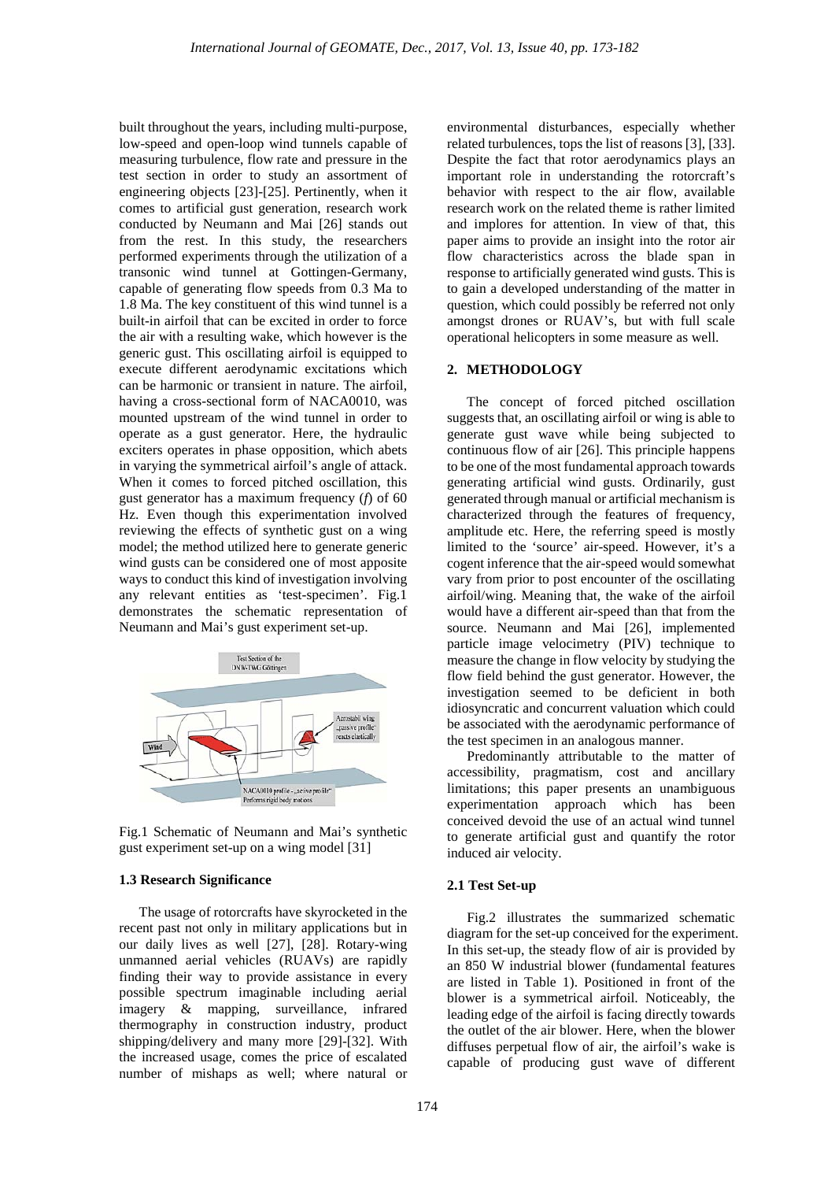built throughout the years, including multi-purpose, low-speed and open-loop wind tunnels capable of measuring turbulence, flow rate and pressure in the test section in order to study an assortment of engineering objects [23]-[25]. Pertinently, when it comes to artificial gust generation, research work conducted by Neumann and Mai [26] stands out from the rest. In this study, the researchers performed experiments through the utilization of a transonic wind tunnel at Gottingen-Germany, capable of generating flow speeds from 0.3 Ma to 1.8 Ma. The key constituent of this wind tunnel is a built-in airfoil that can be excited in order to force the air with a resulting wake, which however is the generic gust. This oscillating airfoil is equipped to execute different aerodynamic excitations which can be harmonic or transient in nature. The airfoil, having a cross-sectional form of NACA0010, was mounted upstream of the wind tunnel in order to operate as a gust generator. Here, the hydraulic exciters operates in phase opposition, which abets in varying the symmetrical airfoil's angle of attack. When it comes to forced pitched oscillation, this gust generator has a maximum frequency (*f*) of 60 Hz. Even though this experimentation involved reviewing the effects of synthetic gust on a wing model; the method utilized here to generate generic wind gusts can be considered one of most apposite ways to conduct this kind of investigation involving any relevant entities as 'test-specimen'. Fig.1 demonstrates the schematic representation of Neumann and Mai's gust experiment set-up.



Fig.1 Schematic of Neumann and Mai's synthetic gust experiment set-up on a wing model [31]

#### **1.3 Research Significance**

The usage of rotorcrafts have skyrocketed in the recent past not only in military applications but in our daily lives as well [27], [28]. Rotary-wing unmanned aerial vehicles (RUAVs) are rapidly finding their way to provide assistance in every possible spectrum imaginable including aerial imagery & mapping, surveillance, infrared thermography in construction industry, product shipping/delivery and many more [29]-[32]. With the increased usage, comes the price of escalated number of mishaps as well; where natural or

environmental disturbances, especially whether related turbulences, tops the list of reasons [3], [33]. Despite the fact that rotor aerodynamics plays an important role in understanding the rotorcraft's behavior with respect to the air flow, available research work on the related theme is rather limited and implores for attention. In view of that, this paper aims to provide an insight into the rotor air flow characteristics across the blade span in response to artificially generated wind gusts. This is to gain a developed understanding of the matter in question, which could possibly be referred not only amongst drones or RUAV's, but with full scale operational helicopters in some measure as well.

### **2. METHODOLOGY**

The concept of forced pitched oscillation suggests that, an oscillating airfoil or wing is able to generate gust wave while being subjected to continuous flow of air [26]. This principle happens to be one of the most fundamental approach towards generating artificial wind gusts. Ordinarily, gust generated through manual or artificial mechanism is characterized through the features of frequency, amplitude etc. Here, the referring speed is mostly limited to the 'source' air-speed. However, it's a cogent inference that the air-speed would somewhat vary from prior to post encounter of the oscillating airfoil/wing. Meaning that, the wake of the airfoil would have a different air-speed than that from the source. Neumann and Mai [26], implemented particle image velocimetry (PIV) technique to measure the change in flow velocity by studying the flow field behind the gust generator. However, the investigation seemed to be deficient in both idiosyncratic and concurrent valuation which could be associated with the aerodynamic performance of the test specimen in an analogous manner.

Predominantly attributable to the matter of accessibility, pragmatism, cost and ancillary limitations; this paper presents an unambiguous experimentation approach which has been conceived devoid the use of an actual wind tunnel to generate artificial gust and quantify the rotor induced air velocity.

#### **2.1 Test Set-up**

Fig.2 illustrates the summarized schematic diagram for the set-up conceived for the experiment. In this set-up, the steady flow of air is provided by an 850 W industrial blower (fundamental features are listed in Table 1). Positioned in front of the blower is a symmetrical airfoil. Noticeably, the leading edge of the airfoil is facing directly towards the outlet of the air blower. Here, when the blower diffuses perpetual flow of air, the airfoil's wake is capable of producing gust wave of different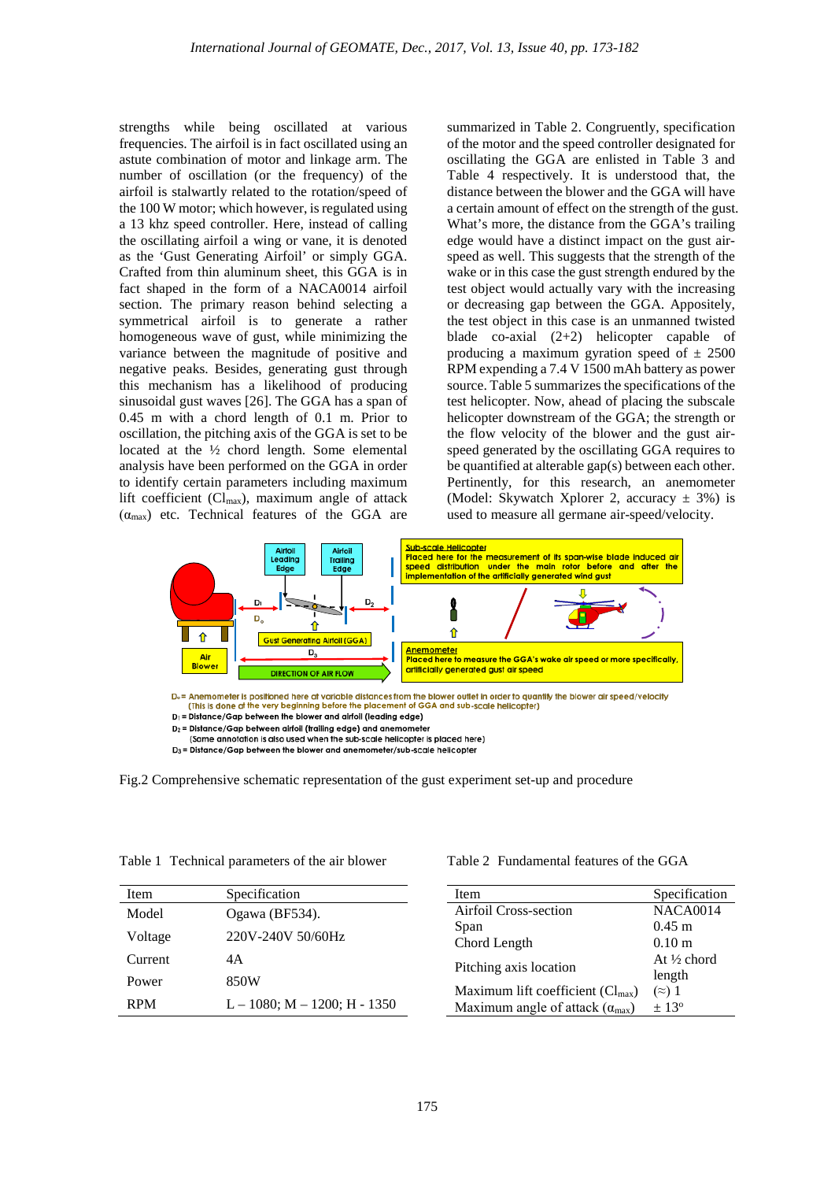strengths while being oscillated at various frequencies. The airfoil is in fact oscillated using an astute combination of motor and linkage arm. The number of oscillation (or the frequency) of the airfoil is stalwartly related to the rotation/speed of the 100 W motor; which however, is regulated using a 13 khz speed controller. Here, instead of calling the oscillating airfoil a wing or vane, it is denoted as the 'Gust Generating Airfoil' or simply GGA. Crafted from thin aluminum sheet, this GGA is in fact shaped in the form of a NACA0014 airfoil section. The primary reason behind selecting a symmetrical airfoil is to generate a rather homogeneous wave of gust, while minimizing the variance between the magnitude of positive and negative peaks. Besides, generating gust through this mechanism has a likelihood of producing sinusoidal gust waves [26]. The GGA has a span of 0.45 m with a chord length of 0.1 m. Prior to oscillation, the pitching axis of the GGA is set to be located at the ½ chord length. Some elemental analysis have been performed on the GGA in order to identify certain parameters including maximum lift coefficient ( $Cl_{max}$ ), maximum angle of attack  $(\alpha_{\text{max}})$  etc. Technical features of the GGA are

summarized in Table 2. Congruently, specification of the motor and the speed controller designated for oscillating the GGA are enlisted in Table 3 and Table 4 respectively. It is understood that, the distance between the blower and the GGA will have a certain amount of effect on the strength of the gust. What's more, the distance from the GGA's trailing edge would have a distinct impact on the gust airspeed as well. This suggests that the strength of the wake or in this case the gust strength endured by the test object would actually vary with the increasing or decreasing gap between the GGA. Appositely, the test object in this case is an unmanned twisted blade co-axial (2+2) helicopter capable of producing a maximum gyration speed of  $\pm 2500$ RPM expending a 7.4 V 1500 mAh battery as power source. Table 5 summarizes the specifications of the test helicopter. Now, ahead of placing the subscale helicopter downstream of the GGA; the strength or the flow velocity of the blower and the gust airspeed generated by the oscillating GGA requires to be quantified at alterable gap(s) between each other. Pertinently, for this research, an anemometer (Model: Skywatch Xplorer 2, accuracy  $\pm$  3%) is used to measure all germane air-speed/velocity.



 $D_1$  = Distance/Gap between the blower and airfoil (leading edge)

D<sub>3</sub> = Distance/Gap between the blower and anemometer/sub-scale helicopter



| Table 1 Technical parameters of the air blower |
|------------------------------------------------|
|------------------------------------------------|

| Item    | Specification                        |
|---------|--------------------------------------|
| Model   | Ogawa (BF534).                       |
| Voltage | 220V-240V 50/60Hz                    |
| Current | 4A                                   |
| Power   | 850W                                 |
| RPM     | $L = 1080$ ; M $- 1200$ ; H $- 1350$ |

Table 2 Fundamental features of the GGA

| <b>Item</b>                              | Specification          |
|------------------------------------------|------------------------|
| Airfoil Cross-section                    | <b>NACA0014</b>        |
|                                          |                        |
| Span                                     | $0.45 \; \mathrm{m}$   |
| Chord Length                             | 0.10 <sub>m</sub>      |
|                                          | At $\frac{1}{2}$ chord |
| Pitching axis location                   | length                 |
| Maximum lift coefficient $(Cl_{max})$    | $(\approx)$ 1          |
| Maximum angle of attack $(\alpha_{max})$ | $+13^{\circ}$          |

D<sub>2</sub> = Distance/Gap between airfoil (trailing edge) and anemometer

<sup>(</sup>Same annotation is also used when the sub-scale helicopter is placed here)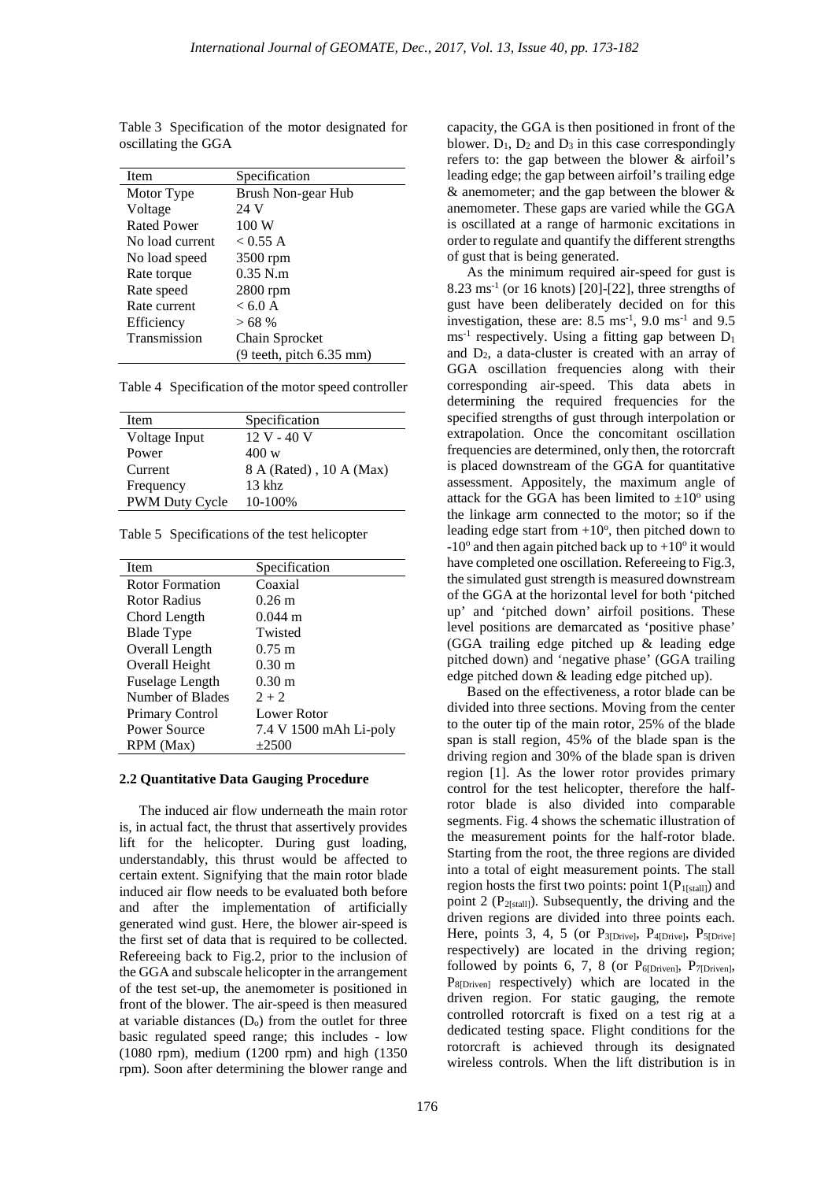| Item            | Specification                                      |
|-----------------|----------------------------------------------------|
| Motor Type      | Brush Non-gear Hub                                 |
| Voltage         | 24 V                                               |
| Rated Power     | 100 W                                              |
| No load current | < 0.55 A                                           |
| No load speed   | 3500 rpm                                           |
| Rate torque     | $0.35$ N.m.                                        |
| Rate speed      | $2800$ rpm                                         |
| Rate current    | < 6.0 A                                            |
| Efficiency      | >68%                                               |
| Transmission    | Chain Sprocket                                     |
|                 | $(9 \text{ teeth}, \text{pitch } 6.35 \text{ mm})$ |

Table 3 Specification of the motor designated for oscillating the GGA

Table 4 Specification of the motor speed controller

| Item                  | Specification           |
|-----------------------|-------------------------|
| Voltage Input         | 12 V - 40 V             |
| Power                 | 400 w                   |
| Current               | 8 A (Rated), 10 A (Max) |
| Frequency             | $13$ khz                |
| <b>PWM Duty Cycle</b> | 10-100%                 |

|  | Table 5 Specifications of the test helicopter |  |  |  |
|--|-----------------------------------------------|--|--|--|
|--|-----------------------------------------------|--|--|--|

| Item                   | Specification          |
|------------------------|------------------------|
| Rotor Formation        | Coaxial                |
| Rotor Radius           | $0.26 \text{ m}$       |
| Chord Length           | $0.044 \text{ m}$      |
| Blade Type             | Twisted                |
| Overall Length         | $0.75 \text{ m}$       |
| Overall Height         | $0.30 \text{ m}$       |
| <b>Fuselage Length</b> | $0.30 \text{ m}$       |
| Number of Blades       | $2 + 2$                |
| <b>Primary Control</b> | Lower Rotor            |
| Power Source           | 7.4 V 1500 mAh Li-poly |
| RPM (Max)              | $+2500$                |

#### **2.2 Quantitative Data Gauging Procedure**

The induced air flow underneath the main rotor is, in actual fact, the thrust that assertively provides lift for the helicopter. During gust loading, understandably, this thrust would be affected to certain extent. Signifying that the main rotor blade induced air flow needs to be evaluated both before and after the implementation of artificially generated wind gust. Here, the blower air-speed is the first set of data that is required to be collected. Refereeing back to Fig.2, prior to the inclusion of the GGA and subscale helicopter in the arrangement of the test set-up, the anemometer is positioned in front of the blower. The air-speed is then measured at variable distances  $(D<sub>o</sub>)$  from the outlet for three basic regulated speed range; this includes - low (1080 rpm), medium (1200 rpm) and high (1350 rpm). Soon after determining the blower range and

capacity, the GGA is then positioned in front of the blower.  $D_1$ ,  $D_2$  and  $D_3$  in this case correspondingly refers to: the gap between the blower & airfoil's leading edge; the gap between airfoil's trailing edge & anemometer; and the gap between the blower & anemometer. These gaps are varied while the GGA is oscillated at a range of harmonic excitations in order to regulate and quantify the different strengths of gust that is being generated.

As the minimum required air-speed for gust is  $8.23 \text{ ms}^{-1}$  (or 16 knots) [20]-[22], three strengths of gust have been deliberately decided on for this investigation, these are:  $8.5 \text{ ms}^{-1}$ ,  $9.0 \text{ ms}^{-1}$  and  $9.5$  $\text{ms}^{-1}$  respectively. Using a fitting gap between  $D_1$ and  $D_2$ , a data-cluster is created with an array of GGA oscillation frequencies along with their corresponding air-speed. This data abets in determining the required frequencies for the specified strengths of gust through interpolation or extrapolation. Once the concomitant oscillation frequencies are determined, only then, the rotorcraft is placed downstream of the GGA for quantitative assessment. Appositely, the maximum angle of attack for the GGA has been limited to  $\pm 10^{\circ}$  using the linkage arm connected to the motor; so if the leading edge start from  $+10^{\circ}$ , then pitched down to  $-10^{\circ}$  and then again pitched back up to  $+10^{\circ}$  it would have completed one oscillation. Refereeing to Fig.3, the simulated gust strength is measured downstream of the GGA at the horizontal level for both 'pitched up' and 'pitched down' airfoil positions. These level positions are demarcated as 'positive phase' (GGA trailing edge pitched up & leading edge pitched down) and 'negative phase' (GGA trailing edge pitched down & leading edge pitched up).

Based on the effectiveness, a rotor blade can be divided into three sections. Moving from the center to the outer tip of the main rotor, 25% of the blade span is stall region, 45% of the blade span is the driving region and 30% of the blade span is driven region [1]. As the lower rotor provides primary control for the test helicopter, therefore the halfrotor blade is also divided into comparable segments. Fig. 4 shows the schematic illustration of the measurement points for the half-rotor blade. Starting from the root, the three regions are divided into a total of eight measurement points. The stall region hosts the first two points: point  $1(P_{1[stat]]})$  and point 2 ( $P_{2[s tall]}$ ). Subsequently, the driving and the driven regions are divided into three points each. Here, points 3, 4, 5 (or  $P_{3[Drive]}$ ,  $P_{4[Drive]}$ ,  $P_{5[Drive]}$ respectively) are located in the driving region; followed by points 6, 7, 8 (or  $P_{6[Driven]}$ ,  $P_{7[Driven]}$ , P<sub>8[Driven]</sub> respectively) which are located in the driven region. For static gauging, the remote controlled rotorcraft is fixed on a test rig at a dedicated testing space. Flight conditions for the rotorcraft is achieved through its designated wireless controls. When the lift distribution is in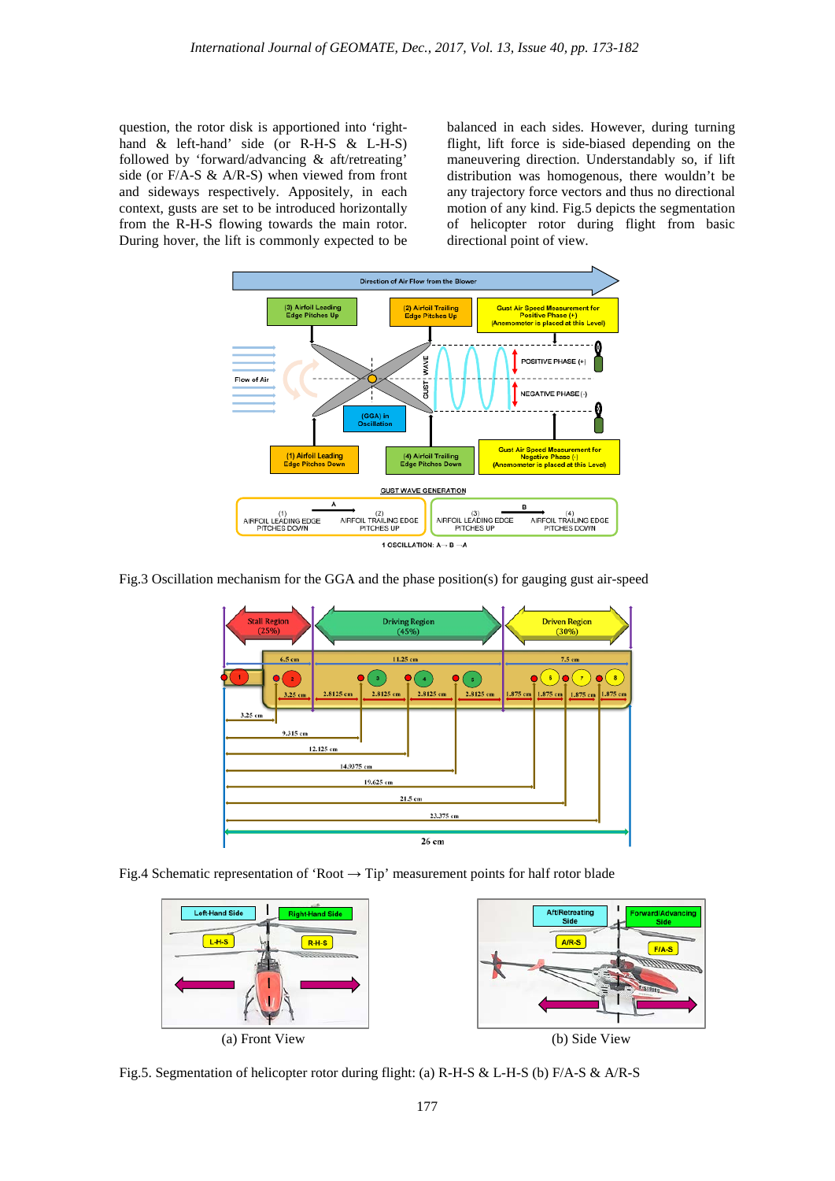question, the rotor disk is apportioned into 'righthand & left-hand' side (or R-H-S & L-H-S) followed by 'forward/advancing & aft/retreating' side (or F/A-S & A/R-S) when viewed from front and sideways respectively. Appositely, in each context, gusts are set to be introduced horizontally from the R-H-S flowing towards the main rotor. During hover, the lift is commonly expected to be balanced in each sides. However, during turning flight, lift force is side-biased depending on the maneuvering direction. Understandably so, if lift distribution was homogenous, there wouldn't be any trajectory force vectors and thus no directional motion of any kind. Fig.5 depicts the segmentation of helicopter rotor during flight from basic directional point of view.



Fig.3 Oscillation mechanism for the GGA and the phase position(s) for gauging gust air-speed



Fig.4 Schematic representation of 'Root  $\rightarrow$  Tip' measurement points for half rotor blade



Fig.5. Segmentation of helicopter rotor during flight: (a) R-H-S & L-H-S (b) F/A-S & A/R-S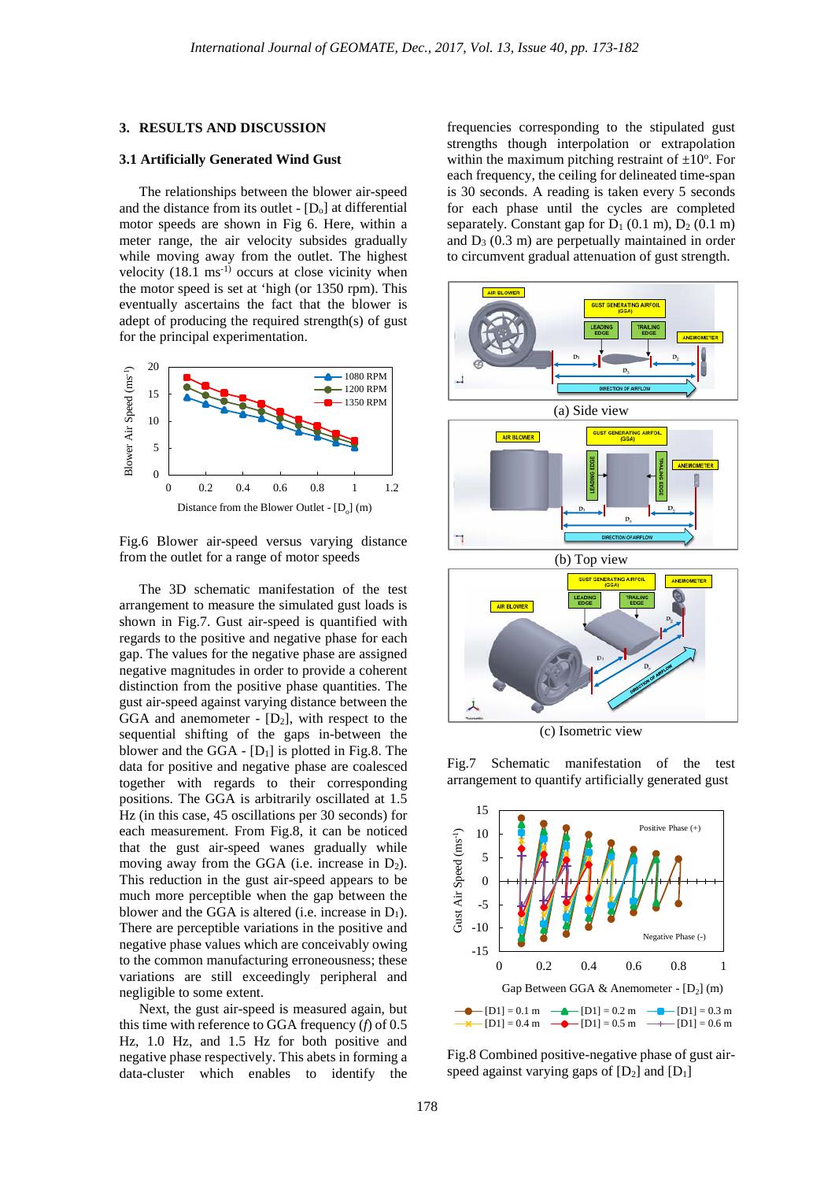#### **3. RESULTS AND DISCUSSION**

### **3.1 Artificially Generated Wind Gust**

The relationships between the blower air-speed and the distance from its outlet -  $[D_0]$  at differential motor speeds are shown in Fig 6. Here, within a meter range, the air velocity subsides gradually while moving away from the outlet. The highest velocity  $(18.1 \text{ ms}^{-1})$  occurs at close vicinity when the motor speed is set at 'high (or 1350 rpm). This eventually ascertains the fact that the blower is adept of producing the required strength(s) of gust for the principal experimentation.



Fig.6 Blower air-speed versus varying distance from the outlet for a range of motor speeds

The 3D schematic manifestation of the test arrangement to measure the simulated gust loads is shown in Fig.7. Gust air-speed is quantified with regards to the positive and negative phase for each gap. The values for the negative phase are assigned negative magnitudes in order to provide a coherent distinction from the positive phase quantities. The gust air-speed against varying distance between the GGA and anemometer -  $[D_2]$ , with respect to the sequential shifting of the gaps in-between the blower and the GGA -  $[D_1]$  is plotted in Fig.8. The data for positive and negative phase are coalesced together with regards to their corresponding positions. The GGA is arbitrarily oscillated at 1.5 Hz (in this case, 45 oscillations per 30 seconds) for each measurement. From Fig.8, it can be noticed that the gust air-speed wanes gradually while moving away from the GGA (i.e. increase in  $D_2$ ). This reduction in the gust air-speed appears to be much more perceptible when the gap between the blower and the GGA is altered (i.e. increase in  $D_1$ ). There are perceptible variations in the positive and negative phase values which are conceivably owing to the common manufacturing erroneousness; these variations are still exceedingly peripheral and negligible to some extent.

Next, the gust air-speed is measured again, but this time with reference to GGA frequency (*f*) of 0.5 Hz, 1.0 Hz, and 1.5 Hz for both positive and negative phase respectively. This abets in forming a data-cluster which enables to identify the

frequencies corresponding to the stipulated gust strengths though interpolation or extrapolation within the maximum pitching restraint of  $\pm 10^{\circ}$ . For each frequency, the ceiling for delineated time-span is 30 seconds. A reading is taken every 5 seconds for each phase until the cycles are completed separately. Constant gap for  $D_1$  (0.1 m),  $D_2$  (0.1 m) and  $D_3$  (0.3 m) are perpetually maintained in order to circumvent gradual attenuation of gust strength.



Fig.7 Schematic manifestation of the test arrangement to quantify artificially generated gust



Fig.8 Combined positive-negative phase of gust airspeed against varying gaps of  $[D_2]$  and  $[D_1]$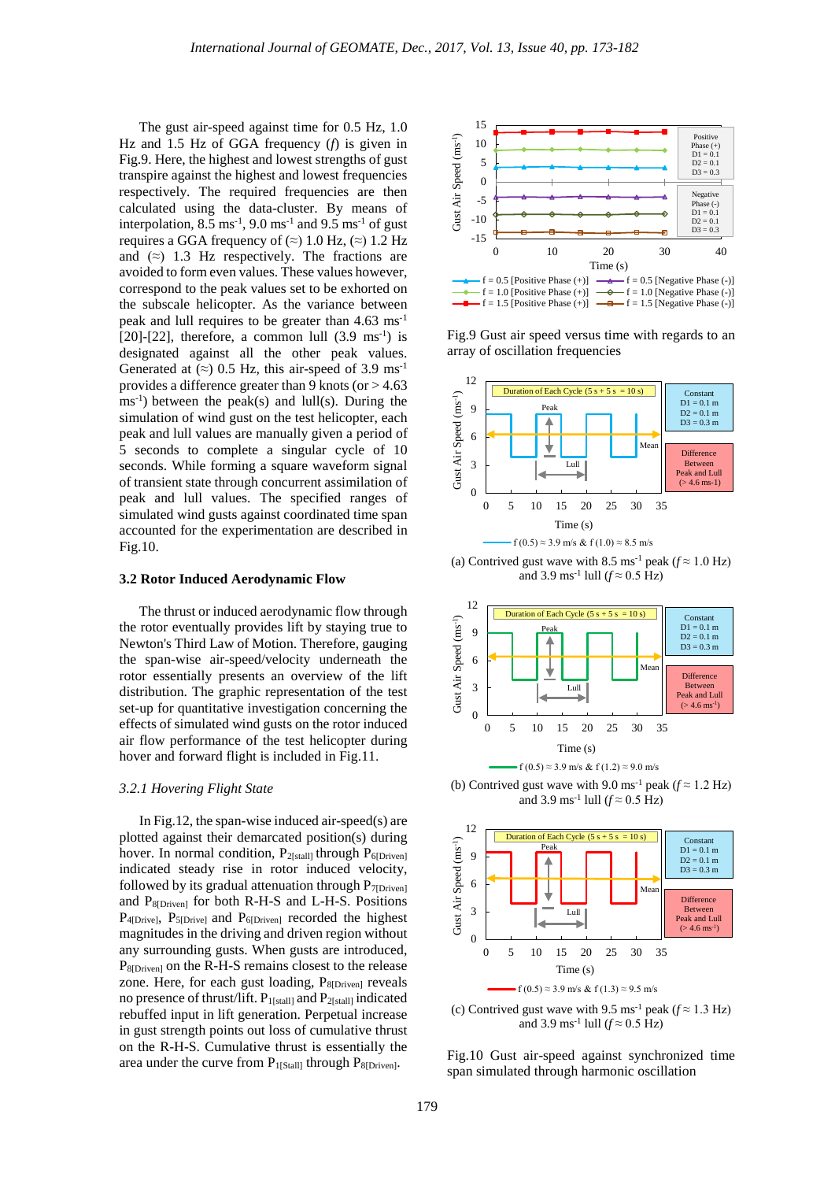The gust air-speed against time for 0.5 Hz, 1.0 Hz and 1.5 Hz of GGA frequency (*f*) is given in Fig.9. Here, the highest and lowest strengths of gust transpire against the highest and lowest frequencies respectively. The required frequencies are then calculated using the data-cluster. By means of interpolation,  $8.5 \text{ ms}^{-1}$ ,  $9.0 \text{ ms}^{-1}$  and  $9.5 \text{ ms}^{-1}$  of gust requires a GGA frequency of  $(\approx)$  1.0 Hz,  $(\approx)$  1.2 Hz and  $(z)$  1.3 Hz respectively. The fractions are avoided to form even values. These values however, correspond to the peak values set to be exhorted on the subscale helicopter. As the variance between peak and lull requires to be greater than 4.63 ms-1 [20]-[22], therefore, a common lull  $(3.9 \text{ ms}^{-1})$  is designated against all the other peak values. Generated at  $(\approx)$  0.5 Hz, this air-speed of 3.9 ms<sup>-1</sup> provides a difference greater than 9 knots (or  $> 4.63$ )  $\text{ms}^{-1}$ ) between the peak(s) and lull(s). During the simulation of wind gust on the test helicopter, each peak and lull values are manually given a period of 5 seconds to complete a singular cycle of 10 seconds. While forming a square waveform signal of transient state through concurrent assimilation of peak and lull values. The specified ranges of simulated wind gusts against coordinated time span accounted for the experimentation are described in Fig.10.

#### **3.2 Rotor Induced Aerodynamic Flow**

The thrust or induced aerodynamic flow through the rotor eventually provides lift by staying true to Newton's Third Law of Motion. Therefore, gauging the span-wise air-speed/velocity underneath the rotor essentially presents an overview of the lift distribution. The graphic representation of the test set-up for quantitative investigation concerning the effects of simulated wind gusts on the rotor induced air flow performance of the test helicopter during hover and forward flight is included in Fig.11.

#### *3.2.1 Hovering Flight State*

In Fig.12, the span-wise induced air-speed(s) are plotted against their demarcated position(s) during hover. In normal condition,  $P_{2[s tall]}$  through  $P_{6[Driven]}$ indicated steady rise in rotor induced velocity, followed by its gradual attenuation through  $P_{7[Driven]}$ and P8[Driven] for both R-H-S and L-H-S. Positions P<sub>4</sub>[Drive], P<sub>5</sub>[Drive] and P<sub>6</sub>[Driven] recorded the highest magnitudes in the driving and driven region without any surrounding gusts. When gusts are introduced, P<sub>8</sub>[Driven] on the R-H-S remains closest to the release zone. Here, for each gust loading,  $P_{8[Driven]}$  reveals no presence of thrust/lift.  $P_{1[s\text{tall}]}$  and  $P_{2[s\text{tall}]}$  indicated rebuffed input in lift generation. Perpetual increase in gust strength points out loss of cumulative thrust on the R-H-S. Cumulative thrust is essentially the area under the curve from  $P_{1[Stall]}$  through  $P_{8[Driven]}$ .



Fig.9 Gust air speed versus time with regards to an array of oscillation frequencies



(a) Contrived gust wave with 8.5 ms<sup>-1</sup> peak ( $f \approx 1.0$  Hz) and 3.9 ms<sup>-1</sup> lull ( $f \approx 0.5$  Hz)



(b) Contrived gust wave with 9.0 ms<sup>-1</sup> peak ( $f \approx 1.2$  Hz)  $f(0.5) \approx 3.9$  m/s & f (1.2)  $\approx 9.0$  m/s

and 3.9 ms<sup>-1</sup> lull ( $f \approx 0.5$  Hz)



(c) Contrived gust wave with 9.5 ms<sup>-1</sup> peak ( $f \approx 1.3$  Hz) and 3.9 ms<sup>-1</sup> lull ( $f \approx 0.5$  Hz)

Fig.10 Gust air-speed against synchronized time span simulated through harmonic oscillation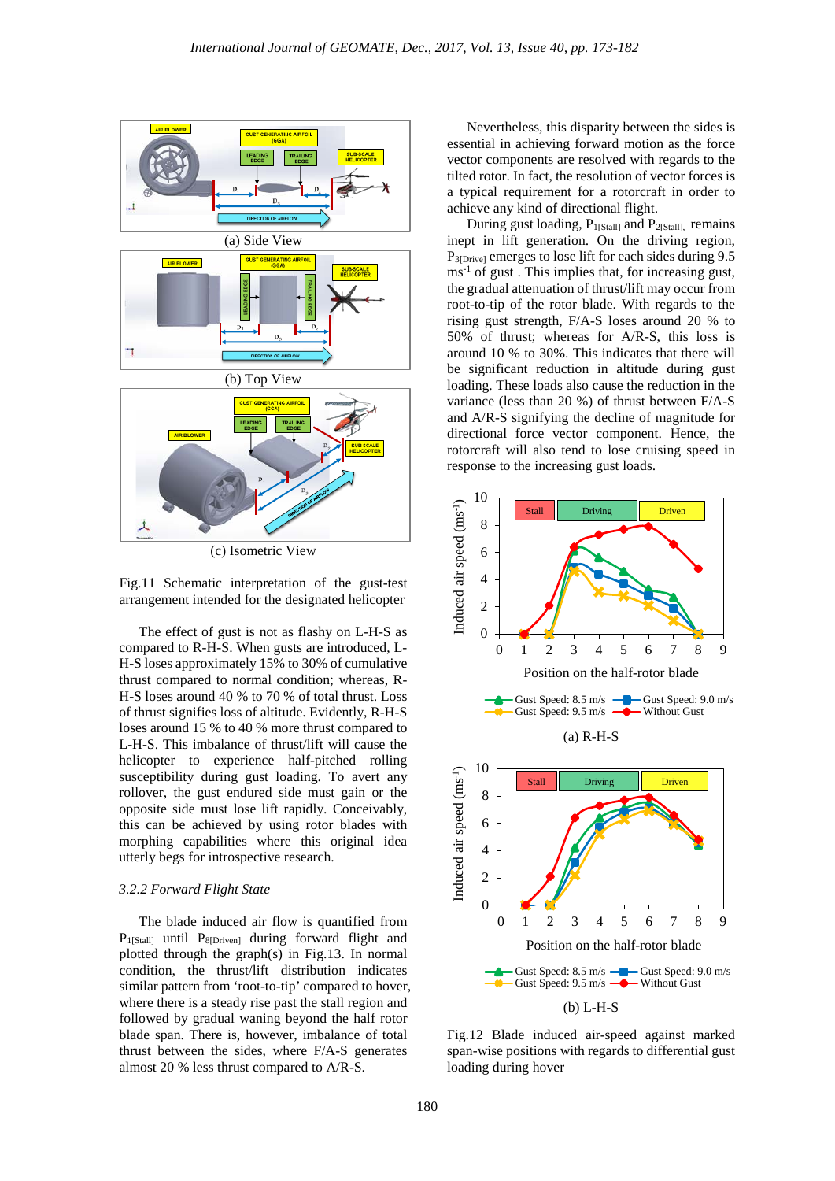

(c) Isometric View



The effect of gust is not as flashy on L-H-S as compared to R-H-S. When gusts are introduced, L-H-S loses approximately 15% to 30% of cumulative thrust compared to normal condition; whereas, R-H-S loses around 40 % to 70 % of total thrust. Loss of thrust signifies loss of altitude. Evidently, R-H-S loses around 15 % to 40 % more thrust compared to L-H-S. This imbalance of thrust/lift will cause the helicopter to experience half-pitched rolling susceptibility during gust loading. To avert any rollover, the gust endured side must gain or the opposite side must lose lift rapidly. Conceivably, this can be achieved by using rotor blades with morphing capabilities where this original idea utterly begs for introspective research.

## *3.2.2 Forward Flight State*

The blade induced air flow is quantified from P<sub>1[Stall]</sub> until P<sub>8[Driven]</sub> during forward flight and plotted through the graph(s) in Fig.13. In normal condition, the thrust/lift distribution indicates similar pattern from 'root-to-tip' compared to hover, where there is a steady rise past the stall region and followed by gradual waning beyond the half rotor blade span. There is, however, imbalance of total thrust between the sides, where F/A-S generates almost 20 % less thrust compared to A/R-S.

Nevertheless, this disparity between the sides is essential in achieving forward motion as the force vector components are resolved with regards to the tilted rotor. In fact, the resolution of vector forces is a typical requirement for a rotorcraft in order to achieve any kind of directional flight.

During gust loading,  $P_{1[Stall]}$  and  $P_{2[Stall]}$ , remains inept in lift generation. On the driving region, P<sub>3[Drive]</sub> emerges to lose lift for each sides during 9.5 ms<sup>-1</sup> of gust. This implies that, for increasing gust, the gradual attenuation of thrust/lift may occur from root-to-tip of the rotor blade. With regards to the rising gust strength, F/A-S loses around 20 % to 50% of thrust; whereas for A/R-S, this loss is around 10 % to 30%. This indicates that there will be significant reduction in altitude during gust loading. These loads also cause the reduction in the variance (less than 20 %) of thrust between F/A-S and A/R-S signifying the decline of magnitude for directional force vector component. Hence, the rotorcraft will also tend to lose cruising speed in response to the increasing gust loads.



Fig.12 Blade induced air-speed against marked span-wise positions with regards to differential gust loading during hover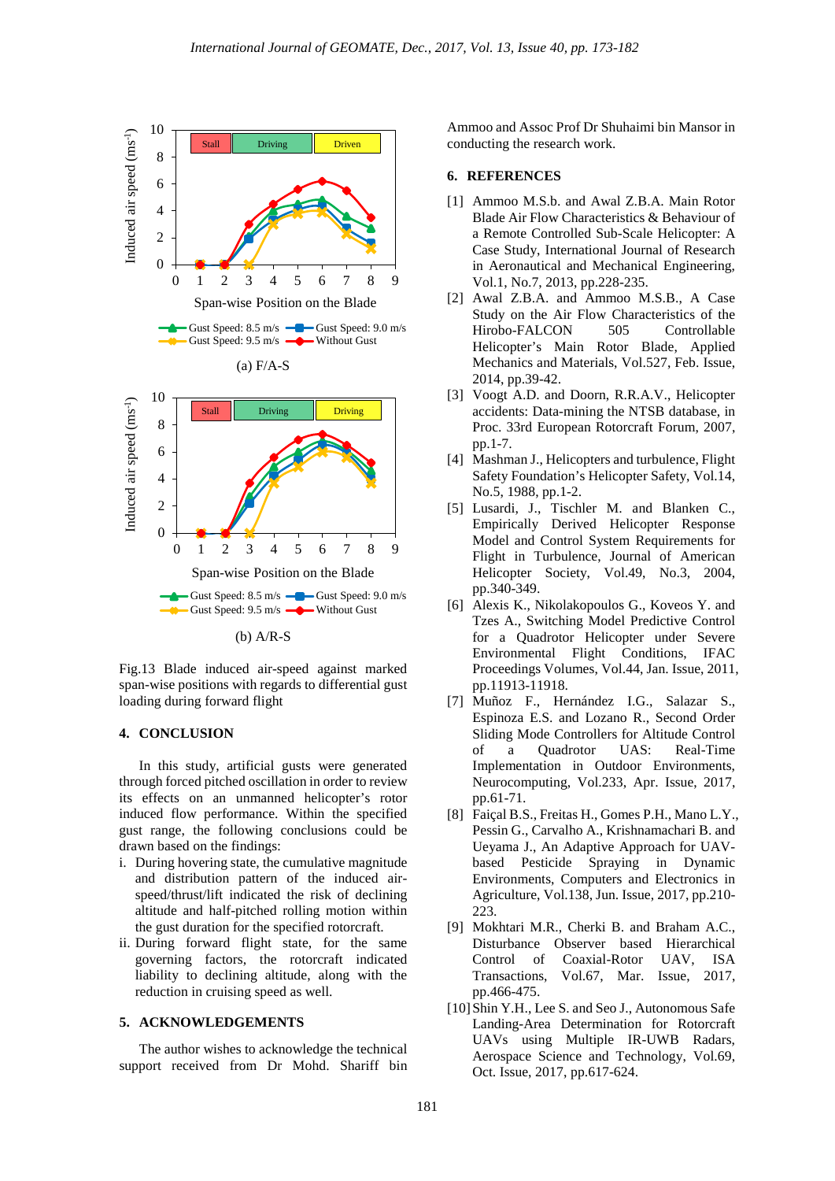

Fig.13 Blade induced air-speed against marked span-wise positions with regards to differential gust loading during forward flight

# **4. CONCLUSION**

In this study, artificial gusts were generated through forced pitched oscillation in order to review its effects on an unmanned helicopter's rotor induced flow performance. Within the specified gust range, the following conclusions could be drawn based on the findings:

- i. During hovering state, the cumulative magnitude and distribution pattern of the induced airspeed/thrust/lift indicated the risk of declining altitude and half-pitched rolling motion within the gust duration for the specified rotorcraft.
- ii. During forward flight state, for the same governing factors, the rotorcraft indicated liability to declining altitude, along with the reduction in cruising speed as well.

#### **5. ACKNOWLEDGEMENTS**

The author wishes to acknowledge the technical support received from Dr Mohd. Shariff bin Ammoo and Assoc Prof Dr Shuhaimi bin Mansor in conducting the research work.

# **6. REFERENCES**

- [1] Ammoo M.S.b. and Awal Z.B.A. Main Rotor Blade Air Flow Characteristics & Behaviour of a Remote Controlled Sub-Scale Helicopter: A Case Study, International Journal of Research in Aeronautical and Mechanical Engineering, Vol.1, No.7, 2013, pp.228-235.
- [2] Awal Z.B.A. and Ammoo M.S.B., A Case Study on the Air Flow Characteristics of the Hirobo-FALCON 505 Controllable Helicopter's Main Rotor Blade, Applied Mechanics and Materials, Vol.527, Feb. Issue, 2014, pp.39-42.
- [3] Voogt A.D. and Doorn, R.R.A.V., Helicopter accidents: Data-mining the NTSB database, in Proc. 33rd European Rotorcraft Forum, 2007, pp.1-7.
- [4] Mashman J., Helicopters and turbulence, Flight Safety Foundation's Helicopter Safety, Vol.14, No.5, 1988, pp.1-2.
- [5] Lusardi, J., Tischler M. and Blanken C., Empirically Derived Helicopter Response Model and Control System Requirements for Flight in Turbulence, Journal of American Helicopter Society, Vol.49, No.3, 2004, pp.340-349.
- [6] Alexis K., Nikolakopoulos G., Koveos Y. and Tzes A., Switching Model Predictive Control for a Quadrotor Helicopter under Severe Environmental Flight Conditions, IFAC Proceedings Volumes, Vol.44, Jan. Issue, 2011, pp.11913-11918.
- [7] Muñoz F., Hernández I.G., Salazar S., Espinoza E.S. and Lozano R., Second Order Sliding Mode Controllers for Altitude Control of a Quadrotor UAS: Real-Time Implementation in Outdoor Environments, Neurocomputing, Vol.233, Apr. Issue, 2017, pp.61-71.
- [8] Faiçal B.S., Freitas H., Gomes P.H., Mano L.Y., Pessin G., Carvalho A., Krishnamachari B. and Ueyama J., An Adaptive Approach for UAVbased Pesticide Spraying in Dynamic Environments, Computers and Electronics in Agriculture, Vol.138, Jun. Issue, 2017, pp.210- 223.
- [9] Mokhtari M.R., Cherki B. and Braham A.C., Disturbance Observer based Hierarchical Control of Coaxial-Rotor UAV, ISA Transactions, Vol.67, Mar. Issue, 2017, pp.466-475.
- [10] Shin Y.H., Lee S. and Seo J., Autonomous Safe Landing-Area Determination for Rotorcraft UAVs using Multiple IR-UWB Radars, Aerospace Science and Technology, Vol.69, Oct. Issue, 2017, pp.617-624.